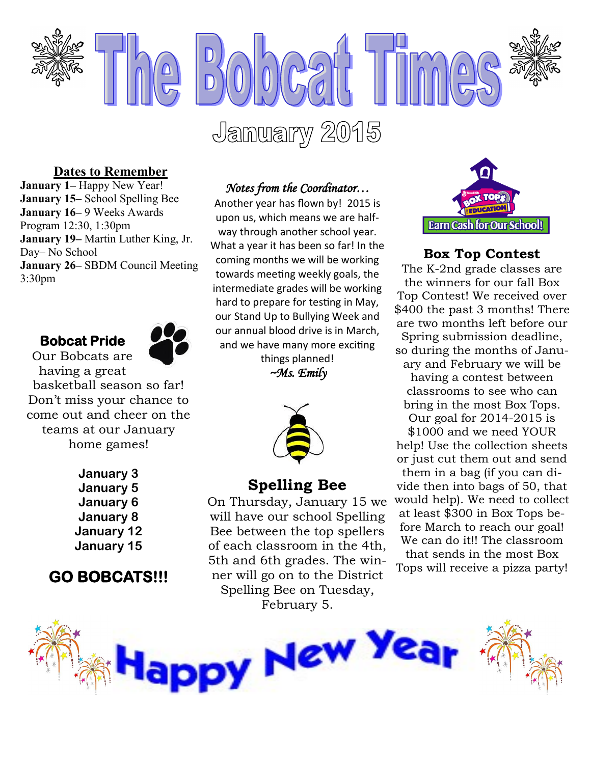

#### **Dates to Remember**

**January 1–** Happy New Year! **January 15–** School Spelling Bee **January 16–** 9 Weeks Awards Program 12:30, 1:30pm **January 19–** Martin Luther King, Jr. Day– No School **January 26–** SBDM Council Meeting 3:30pm

#### **Bobcat Pride**  Our Bobcats are



having a great basketball season so far! Don't miss your chance to come out and cheer on the teams at our January

home games!

**January 3 January 5 January 6 January 8 January 12 January 15**

## **GO BOBCATS!!!**

#### *Notes from the Coordinator…*

Another year has flown by! 2015 is upon us, which means we are halfway through another school year. What a year it has been so far! In the coming months we will be working towards meeting weekly goals, the intermediate grades will be working hard to prepare for testing in May, our Stand Up to Bullying Week and our annual blood drive is in March, and we have many more exciting things planned!

 $\sim$ Ms. Emily



#### **Spelling Bee**

On Thursday, January 15 we will have our school Spelling Bee between the top spellers of each classroom in the 4th, 5th and 6th grades. The winner will go on to the District Spelling Bee on Tuesday, February 5.

y New Ye



#### **Box Top Contest**

The K-2nd grade classes are the winners for our fall Box Top Contest! We received over \$400 the past 3 months! There are two months left before our Spring submission deadline, so during the months of January and February we will be

having a contest between classrooms to see who can bring in the most Box Tops. Our goal for 2014-2015 is

\$1000 and we need YOUR help! Use the collection sheets or just cut them out and send them in a bag (if you can divide then into bags of 50, that would help). We need to collect at least \$300 in Box Tops be-

fore March to reach our goal! We can do it!! The classroom that sends in the most Box

Tops will receive a pizza party!